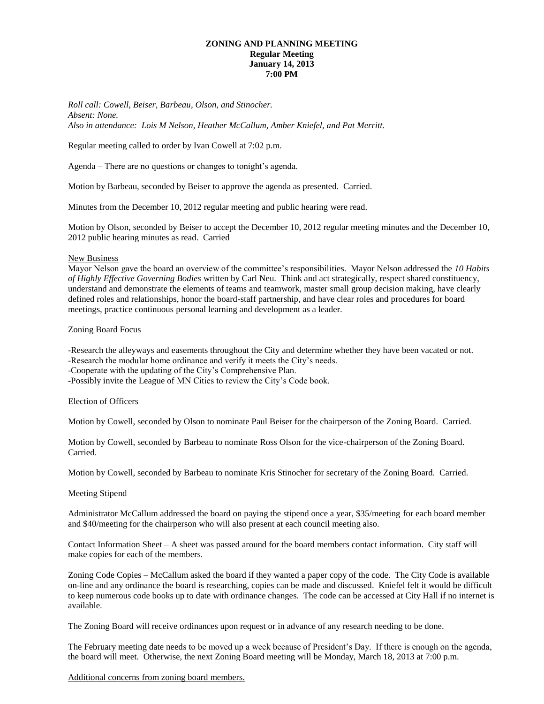## **ZONING AND PLANNING MEETING Regular Meeting January 14, 2013 7:00 PM**

*Roll call: Cowell, Beiser, Barbeau, Olson, and Stinocher. Absent: None. Also in attendance: Lois M Nelson, Heather McCallum, Amber Kniefel, and Pat Merritt.*

Regular meeting called to order by Ivan Cowell at 7:02 p.m.

Agenda – There are no questions or changes to tonight's agenda.

Motion by Barbeau, seconded by Beiser to approve the agenda as presented. Carried.

Minutes from the December 10, 2012 regular meeting and public hearing were read.

Motion by Olson, seconded by Beiser to accept the December 10, 2012 regular meeting minutes and the December 10, 2012 public hearing minutes as read. Carried

## New Business

Mayor Nelson gave the board an overview of the committee's responsibilities. Mayor Nelson addressed the *10 Habits of Highly Effective Governing Bodies* written by Carl Neu. Think and act strategically, respect shared constituency, understand and demonstrate the elements of teams and teamwork, master small group decision making, have clearly defined roles and relationships, honor the board-staff partnership, and have clear roles and procedures for board meetings, practice continuous personal learning and development as a leader.

Zoning Board Focus

-Research the alleyways and easements throughout the City and determine whether they have been vacated or not. -Research the modular home ordinance and verify it meets the City's needs.

-Cooperate with the updating of the City's Comprehensive Plan.

-Possibly invite the League of MN Cities to review the City's Code book.

Election of Officers

Motion by Cowell, seconded by Olson to nominate Paul Beiser for the chairperson of the Zoning Board. Carried.

Motion by Cowell, seconded by Barbeau to nominate Ross Olson for the vice-chairperson of the Zoning Board. Carried.

Motion by Cowell, seconded by Barbeau to nominate Kris Stinocher for secretary of the Zoning Board. Carried.

## Meeting Stipend

Administrator McCallum addressed the board on paying the stipend once a year, \$35/meeting for each board member and \$40/meeting for the chairperson who will also present at each council meeting also.

Contact Information Sheet – A sheet was passed around for the board members contact information. City staff will make copies for each of the members.

Zoning Code Copies – McCallum asked the board if they wanted a paper copy of the code. The City Code is available on-line and any ordinance the board is researching, copies can be made and discussed. Kniefel felt it would be difficult to keep numerous code books up to date with ordinance changes. The code can be accessed at City Hall if no internet is available.

The Zoning Board will receive ordinances upon request or in advance of any research needing to be done.

The February meeting date needs to be moved up a week because of President's Day. If there is enough on the agenda, the board will meet. Otherwise, the next Zoning Board meeting will be Monday, March 18, 2013 at 7:00 p.m.

Additional concerns from zoning board members.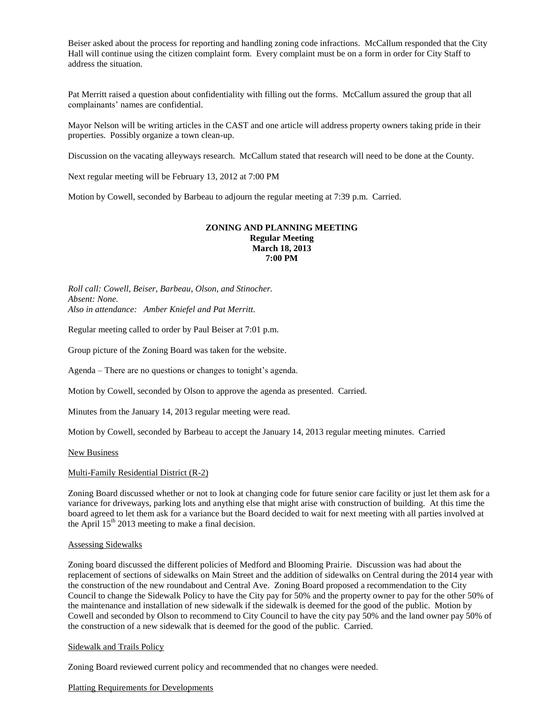Beiser asked about the process for reporting and handling zoning code infractions. McCallum responded that the City Hall will continue using the citizen complaint form. Every complaint must be on a form in order for City Staff to address the situation.

Pat Merritt raised a question about confidentiality with filling out the forms. McCallum assured the group that all complainants' names are confidential.

Mayor Nelson will be writing articles in the CAST and one article will address property owners taking pride in their properties. Possibly organize a town clean-up.

Discussion on the vacating alleyways research. McCallum stated that research will need to be done at the County.

Next regular meeting will be February 13, 2012 at 7:00 PM

Motion by Cowell, seconded by Barbeau to adjourn the regular meeting at 7:39 p.m. Carried.

## **ZONING AND PLANNING MEETING Regular Meeting March 18, 2013 7:00 PM**

*Roll call: Cowell, Beiser, Barbeau, Olson, and Stinocher. Absent: None. Also in attendance: Amber Kniefel and Pat Merritt.*

Regular meeting called to order by Paul Beiser at 7:01 p.m.

Group picture of the Zoning Board was taken for the website.

Agenda – There are no questions or changes to tonight's agenda.

Motion by Cowell, seconded by Olson to approve the agenda as presented. Carried.

Minutes from the January 14, 2013 regular meeting were read.

Motion by Cowell, seconded by Barbeau to accept the January 14, 2013 regular meeting minutes. Carried

New Business

#### Multi-Family Residential District (R-2)

Zoning Board discussed whether or not to look at changing code for future senior care facility or just let them ask for a variance for driveways, parking lots and anything else that might arise with construction of building. At this time the board agreed to let them ask for a variance but the Board decided to wait for next meeting with all parties involved at the April  $15<sup>th</sup>$  2013 meeting to make a final decision.

#### Assessing Sidewalks

Zoning board discussed the different policies of Medford and Blooming Prairie. Discussion was had about the replacement of sections of sidewalks on Main Street and the addition of sidewalks on Central during the 2014 year with the construction of the new roundabout and Central Ave. Zoning Board proposed a recommendation to the City Council to change the Sidewalk Policy to have the City pay for 50% and the property owner to pay for the other 50% of the maintenance and installation of new sidewalk if the sidewalk is deemed for the good of the public. Motion by Cowell and seconded by Olson to recommend to City Council to have the city pay 50% and the land owner pay 50% of the construction of a new sidewalk that is deemed for the good of the public. Carried.

#### Sidewalk and Trails Policy

Zoning Board reviewed current policy and recommended that no changes were needed.

#### Platting Requirements for Developments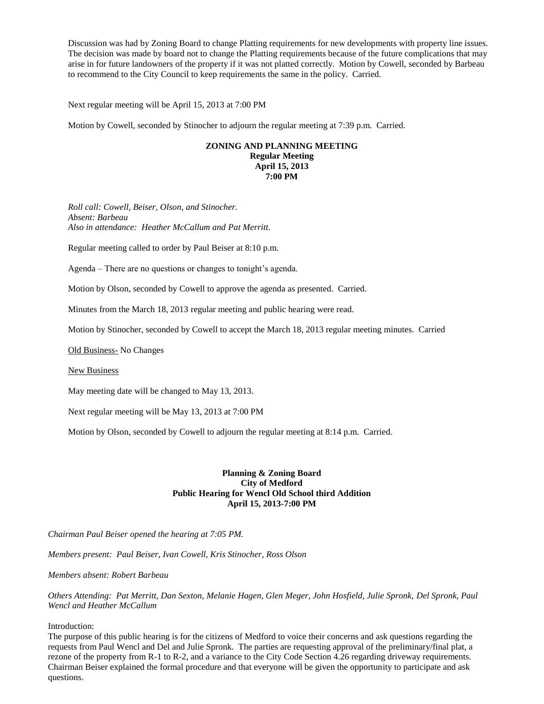Discussion was had by Zoning Board to change Platting requirements for new developments with property line issues. The decision was made by board not to change the Platting requirements because of the future complications that may arise in for future landowners of the property if it was not platted correctly. Motion by Cowell, seconded by Barbeau to recommend to the City Council to keep requirements the same in the policy. Carried.

Next regular meeting will be April 15, 2013 at 7:00 PM

Motion by Cowell, seconded by Stinocher to adjourn the regular meeting at 7:39 p.m. Carried.

## **ZONING AND PLANNING MEETING Regular Meeting April 15, 2013 7:00 PM**

*Roll call: Cowell, Beiser, Olson, and Stinocher. Absent: Barbeau Also in attendance: Heather McCallum and Pat Merritt.*

Regular meeting called to order by Paul Beiser at 8:10 p.m.

Agenda – There are no questions or changes to tonight's agenda.

Motion by Olson, seconded by Cowell to approve the agenda as presented. Carried.

Minutes from the March 18, 2013 regular meeting and public hearing were read.

Motion by Stinocher, seconded by Cowell to accept the March 18, 2013 regular meeting minutes. Carried

Old Business- No Changes

New Business

May meeting date will be changed to May 13, 2013.

Next regular meeting will be May 13, 2013 at 7:00 PM

Motion by Olson, seconded by Cowell to adjourn the regular meeting at 8:14 p.m. Carried.

# **Planning & Zoning Board City of Medford Public Hearing for Wencl Old School third Addition April 15, 2013-7:00 PM**

*Chairman Paul Beiser opened the hearing at 7:05 PM.*

*Members present: Paul Beiser, Ivan Cowell, Kris Stinocher, Ross Olson*

*Members absent: Robert Barbeau*

*Others Attending: Pat Merritt, Dan Sexton, Melanie Hagen, Glen Meger, John Hosfield, Julie Spronk, Del Spronk, Paul Wencl and Heather McCallum*

Introduction:

The purpose of this public hearing is for the citizens of Medford to voice their concerns and ask questions regarding the requests from Paul Wencl and Del and Julie Spronk. The parties are requesting approval of the preliminary/final plat, a rezone of the property from R-1 to R-2, and a variance to the City Code Section 4.26 regarding driveway requirements. Chairman Beiser explained the formal procedure and that everyone will be given the opportunity to participate and ask questions.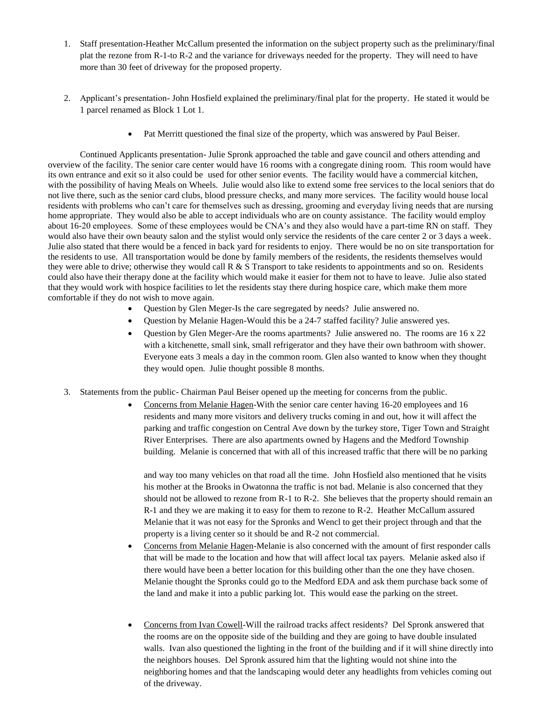- 1. Staff presentation-Heather McCallum presented the information on the subject property such as the preliminary/final plat the rezone from R-1-to R-2 and the variance for driveways needed for the property. They will need to have more than 30 feet of driveway for the proposed property.
- 2. Applicant's presentation- John Hosfield explained the preliminary/final plat for the property. He stated it would be 1 parcel renamed as Block 1 Lot 1.
	- Pat Merritt questioned the final size of the property, which was answered by Paul Beiser.

Continued Applicants presentation- Julie Spronk approached the table and gave council and others attending and overview of the facility. The senior care center would have 16 rooms with a congregate dining room. This room would have its own entrance and exit so it also could be used for other senior events. The facility would have a commercial kitchen, with the possibility of having Meals on Wheels. Julie would also like to extend some free services to the local seniors that do not live there, such as the senior card clubs, blood pressure checks, and many more services. The facility would house local residents with problems who can't care for themselves such as dressing, grooming and everyday living needs that are nursing home appropriate. They would also be able to accept individuals who are on county assistance. The facility would employ about 16-20 employees. Some of these employees would be CNA's and they also would have a part-time RN on staff. They would also have their own beauty salon and the stylist would only service the residents of the care center 2 or 3 days a week. Julie also stated that there would be a fenced in back yard for residents to enjoy. There would be no on site transportation for the residents to use. All transportation would be done by family members of the residents, the residents themselves would they were able to drive; otherwise they would call  $R \& S$  Transport to take residents to appointments and so on. Residents could also have their therapy done at the facility which would make it easier for them not to have to leave. Julie also stated that they would work with hospice facilities to let the residents stay there during hospice care, which make them more comfortable if they do not wish to move again.

- Question by Glen Meger-Is the care segregated by needs? Julie answered no.
- Question by Melanie Hagen-Would this be a 24-7 staffed facility? Julie answered yes.
- Question by Glen Meger-Are the rooms apartments? Julie answered no. The rooms are 16 x 22 with a kitchenette, small sink, small refrigerator and they have their own bathroom with shower. Everyone eats 3 meals a day in the common room. Glen also wanted to know when they thought they would open. Julie thought possible 8 months.
- 3. Statements from the public- Chairman Paul Beiser opened up the meeting for concerns from the public.
	- Concerns from Melanie Hagen-With the senior care center having 16-20 employees and 16 residents and many more visitors and delivery trucks coming in and out, how it will affect the parking and traffic congestion on Central Ave down by the turkey store, Tiger Town and Straight River Enterprises. There are also apartments owned by Hagens and the Medford Township building. Melanie is concerned that with all of this increased traffic that there will be no parking

and way too many vehicles on that road all the time. John Hosfield also mentioned that he visits his mother at the Brooks in Owatonna the traffic is not bad. Melanie is also concerned that they should not be allowed to rezone from  $R-1$  to  $R-2$ . She believes that the property should remain an R-1 and they we are making it to easy for them to rezone to R-2. Heather McCallum assured Melanie that it was not easy for the Spronks and Wencl to get their project through and that the property is a living center so it should be and R-2 not commercial.

- Concerns from Melanie Hagen-Melanie is also concerned with the amount of first responder calls that will be made to the location and how that will affect local tax payers. Melanie asked also if there would have been a better location for this building other than the one they have chosen. Melanie thought the Spronks could go to the Medford EDA and ask them purchase back some of the land and make it into a public parking lot. This would ease the parking on the street.
- Concerns from Ivan Cowell-Will the railroad tracks affect residents? Del Spronk answered that the rooms are on the opposite side of the building and they are going to have double insulated walls. Ivan also questioned the lighting in the front of the building and if it will shine directly into the neighbors houses. Del Spronk assured him that the lighting would not shine into the neighboring homes and that the landscaping would deter any headlights from vehicles coming out of the driveway.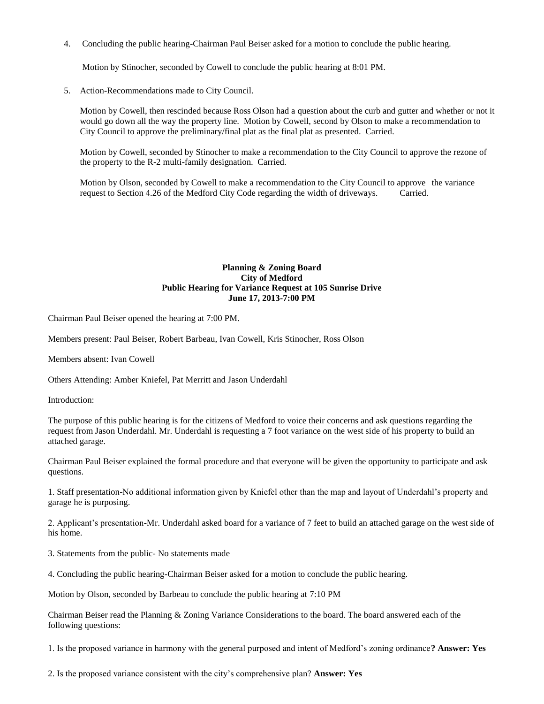4. Concluding the public hearing-Chairman Paul Beiser asked for a motion to conclude the public hearing.

Motion by Stinocher, seconded by Cowell to conclude the public hearing at 8:01 PM.

5. Action-Recommendations made to City Council.

Motion by Cowell, then rescinded because Ross Olson had a question about the curb and gutter and whether or not it would go down all the way the property line. Motion by Cowell, second by Olson to make a recommendation to City Council to approve the preliminary/final plat as the final plat as presented. Carried.

Motion by Cowell, seconded by Stinocher to make a recommendation to the City Council to approve the rezone of the property to the R-2 multi-family designation. Carried.

Motion by Olson, seconded by Cowell to make a recommendation to the City Council to approve the variance request to Section 4.26 of the Medford City Code regarding the width of driveways. Carried.

# **Planning & Zoning Board City of Medford Public Hearing for Variance Request at 105 Sunrise Drive June 17, 2013-7:00 PM**

Chairman Paul Beiser opened the hearing at 7:00 PM.

Members present: Paul Beiser, Robert Barbeau, Ivan Cowell, Kris Stinocher, Ross Olson

Members absent: Ivan Cowell

Others Attending: Amber Kniefel, Pat Merritt and Jason Underdahl

Introduction:

The purpose of this public hearing is for the citizens of Medford to voice their concerns and ask questions regarding the request from Jason Underdahl. Mr. Underdahl is requesting a 7 foot variance on the west side of his property to build an attached garage.

Chairman Paul Beiser explained the formal procedure and that everyone will be given the opportunity to participate and ask questions.

1. Staff presentation-No additional information given by Kniefel other than the map and layout of Underdahl's property and garage he is purposing.

2. Applicant's presentation-Mr. Underdahl asked board for a variance of 7 feet to build an attached garage on the west side of his home.

3. Statements from the public- No statements made

4. Concluding the public hearing-Chairman Beiser asked for a motion to conclude the public hearing.

Motion by Olson, seconded by Barbeau to conclude the public hearing at 7:10 PM

Chairman Beiser read the Planning & Zoning Variance Considerations to the board. The board answered each of the following questions:

1. Is the proposed variance in harmony with the general purposed and intent of Medford's zoning ordinance**? Answer: Yes** 

2. Is the proposed variance consistent with the city's comprehensive plan? **Answer: Yes**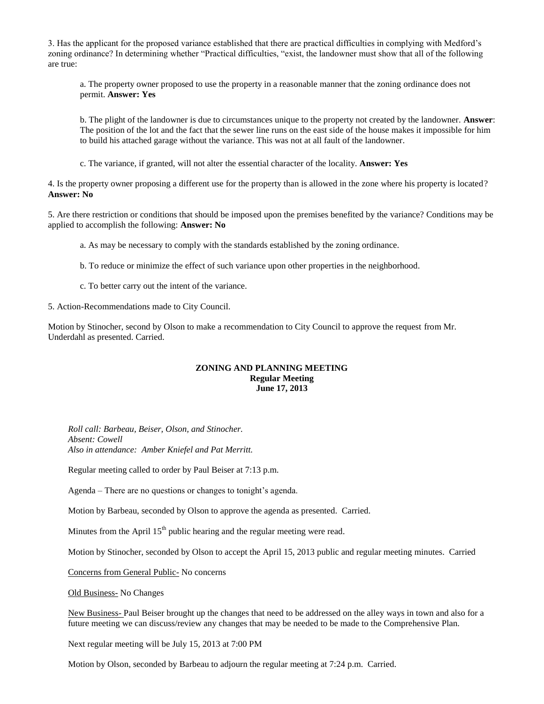3. Has the applicant for the proposed variance established that there are practical difficulties in complying with Medford's zoning ordinance? In determining whether "Practical difficulties, "exist, the landowner must show that all of the following are true:

a. The property owner proposed to use the property in a reasonable manner that the zoning ordinance does not permit. **Answer: Yes** 

b. The plight of the landowner is due to circumstances unique to the property not created by the landowner. **Answer**: The position of the lot and the fact that the sewer line runs on the east side of the house makes it impossible for him to build his attached garage without the variance. This was not at all fault of the landowner.

c. The variance, if granted, will not alter the essential character of the locality. **Answer: Yes** 

4. Is the property owner proposing a different use for the property than is allowed in the zone where his property is located? **Answer: No** 

5. Are there restriction or conditions that should be imposed upon the premises benefited by the variance? Conditions may be applied to accomplish the following: **Answer: No** 

a. As may be necessary to comply with the standards established by the zoning ordinance.

b. To reduce or minimize the effect of such variance upon other properties in the neighborhood.

c. To better carry out the intent of the variance.

5. Action-Recommendations made to City Council.

Motion by Stinocher, second by Olson to make a recommendation to City Council to approve the request from Mr. Underdahl as presented. Carried.

## **ZONING AND PLANNING MEETING Regular Meeting June 17, 2013**

*Roll call: Barbeau, Beiser, Olson, and Stinocher. Absent: Cowell Also in attendance: Amber Kniefel and Pat Merritt.*

Regular meeting called to order by Paul Beiser at 7:13 p.m.

Agenda – There are no questions or changes to tonight's agenda.

Motion by Barbeau, seconded by Olson to approve the agenda as presented. Carried.

Minutes from the April  $15<sup>th</sup>$  public hearing and the regular meeting were read.

Motion by Stinocher, seconded by Olson to accept the April 15, 2013 public and regular meeting minutes. Carried

Concerns from General Public- No concerns

Old Business- No Changes

New Business- Paul Beiser brought up the changes that need to be addressed on the alley ways in town and also for a future meeting we can discuss/review any changes that may be needed to be made to the Comprehensive Plan.

Next regular meeting will be July 15, 2013 at 7:00 PM

Motion by Olson, seconded by Barbeau to adjourn the regular meeting at 7:24 p.m. Carried.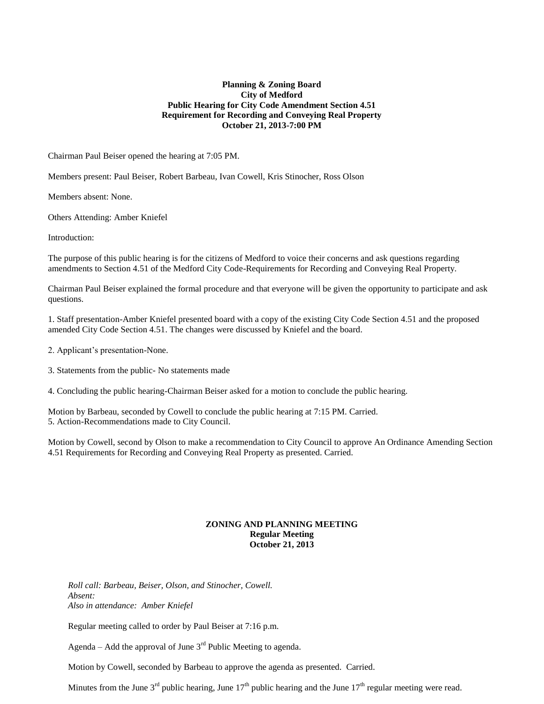# **Planning & Zoning Board City of Medford Public Hearing for City Code Amendment Section 4.51 Requirement for Recording and Conveying Real Property October 21, 2013-7:00 PM**

Chairman Paul Beiser opened the hearing at 7:05 PM.

Members present: Paul Beiser, Robert Barbeau, Ivan Cowell, Kris Stinocher, Ross Olson

Members absent: None.

Others Attending: Amber Kniefel

Introduction:

The purpose of this public hearing is for the citizens of Medford to voice their concerns and ask questions regarding amendments to Section 4.51 of the Medford City Code-Requirements for Recording and Conveying Real Property.

Chairman Paul Beiser explained the formal procedure and that everyone will be given the opportunity to participate and ask questions.

1. Staff presentation-Amber Kniefel presented board with a copy of the existing City Code Section 4.51 and the proposed amended City Code Section 4.51. The changes were discussed by Kniefel and the board.

2. Applicant's presentation-None.

3. Statements from the public- No statements made

4. Concluding the public hearing-Chairman Beiser asked for a motion to conclude the public hearing.

Motion by Barbeau, seconded by Cowell to conclude the public hearing at 7:15 PM. Carried. 5. Action-Recommendations made to City Council.

Motion by Cowell, second by Olson to make a recommendation to City Council to approve An Ordinance Amending Section 4.51 Requirements for Recording and Conveying Real Property as presented. Carried.

### **ZONING AND PLANNING MEETING Regular Meeting October 21, 2013**

*Roll call: Barbeau, Beiser, Olson, and Stinocher, Cowell. Absent: Also in attendance: Amber Kniefel* 

Regular meeting called to order by Paul Beiser at 7:16 p.m.

Agenda – Add the approval of June  $3<sup>rd</sup>$  Public Meeting to agenda.

Motion by Cowell, seconded by Barbeau to approve the agenda as presented. Carried.

Minutes from the June  $3^{rd}$  public hearing, June  $17^{th}$  public hearing and the June  $17^{th}$  regular meeting were read.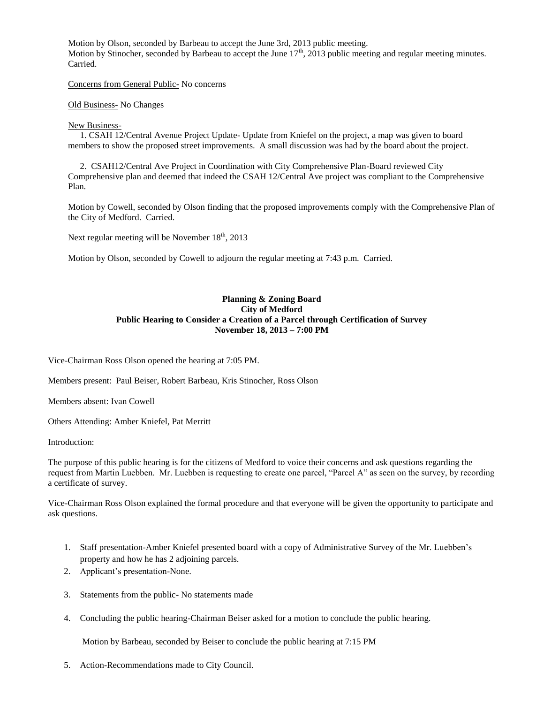Motion by Olson, seconded by Barbeau to accept the June 3rd, 2013 public meeting. Motion by Stinocher, seconded by Barbeau to accept the June  $17<sup>th</sup>$ , 2013 public meeting and regular meeting minutes. Carried.

Concerns from General Public- No concerns

Old Business- No Changes

## New Business-

1. CSAH 12/Central Avenue Project Update- Update from Kniefel on the project, a map was given to board members to show the proposed street improvements. A small discussion was had by the board about the project.

2. CSAH12/Central Ave Project in Coordination with City Comprehensive Plan-Board reviewed City Comprehensive plan and deemed that indeed the CSAH 12/Central Ave project was compliant to the Comprehensive Plan.

Motion by Cowell, seconded by Olson finding that the proposed improvements comply with the Comprehensive Plan of the City of Medford. Carried.

Next regular meeting will be November  $18<sup>th</sup>$ , 2013

Motion by Olson, seconded by Cowell to adjourn the regular meeting at 7:43 p.m. Carried.

# **Planning & Zoning Board City of Medford Public Hearing to Consider a Creation of a Parcel through Certification of Survey November 18, 2013 – 7:00 PM**

Vice-Chairman Ross Olson opened the hearing at 7:05 PM.

Members present: Paul Beiser, Robert Barbeau, Kris Stinocher, Ross Olson

Members absent: Ivan Cowell

Others Attending: Amber Kniefel, Pat Merritt

Introduction:

The purpose of this public hearing is for the citizens of Medford to voice their concerns and ask questions regarding the request from Martin Luebben. Mr. Luebben is requesting to create one parcel, "Parcel A" as seen on the survey, by recording a certificate of survey.

Vice-Chairman Ross Olson explained the formal procedure and that everyone will be given the opportunity to participate and ask questions.

- 1. Staff presentation-Amber Kniefel presented board with a copy of Administrative Survey of the Mr. Luebben's property and how he has 2 adjoining parcels.
- 2. Applicant's presentation-None.
- 3. Statements from the public- No statements made
- 4. Concluding the public hearing-Chairman Beiser asked for a motion to conclude the public hearing.

Motion by Barbeau, seconded by Beiser to conclude the public hearing at 7:15 PM

5. Action-Recommendations made to City Council.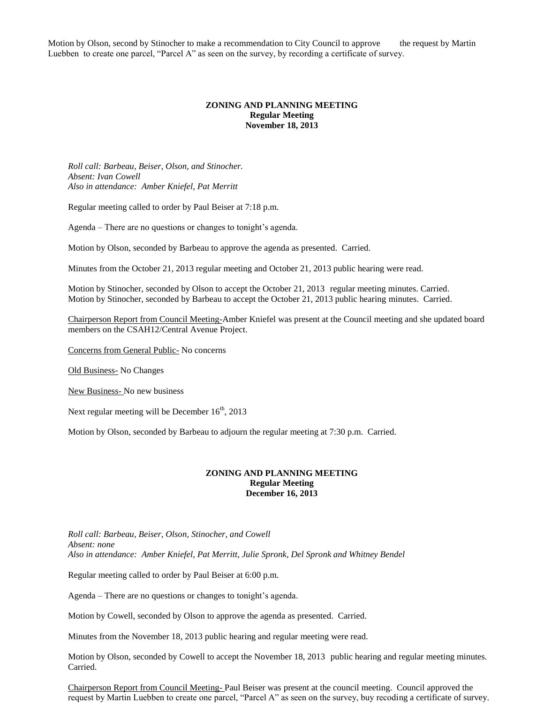Motion by Olson, second by Stinocher to make a recommendation to City Council to approve the request by Martin Luebben to create one parcel, "Parcel A" as seen on the survey, by recording a certificate of survey.

## **ZONING AND PLANNING MEETING Regular Meeting November 18, 2013**

*Roll call: Barbeau, Beiser, Olson, and Stinocher. Absent: Ivan Cowell Also in attendance: Amber Kniefel, Pat Merritt*

Regular meeting called to order by Paul Beiser at 7:18 p.m.

Agenda – There are no questions or changes to tonight's agenda.

Motion by Olson, seconded by Barbeau to approve the agenda as presented. Carried.

Minutes from the October 21, 2013 regular meeting and October 21, 2013 public hearing were read.

Motion by Stinocher, seconded by Olson to accept the October 21, 2013 regular meeting minutes. Carried. Motion by Stinocher, seconded by Barbeau to accept the October 21, 2013 public hearing minutes. Carried.

Chairperson Report from Council Meeting-Amber Kniefel was present at the Council meeting and she updated board members on the CSAH12/Central Avenue Project.

Concerns from General Public- No concerns

Old Business- No Changes

New Business- No new business

Next regular meeting will be December  $16<sup>th</sup>$ , 2013

Motion by Olson, seconded by Barbeau to adjourn the regular meeting at 7:30 p.m. Carried.

## **ZONING AND PLANNING MEETING Regular Meeting December 16, 2013**

*Roll call: Barbeau, Beiser, Olson, Stinocher, and Cowell Absent: none Also in attendance: Amber Kniefel, Pat Merritt, Julie Spronk, Del Spronk and Whitney Bendel*

Regular meeting called to order by Paul Beiser at 6:00 p.m.

Agenda – There are no questions or changes to tonight's agenda.

Motion by Cowell, seconded by Olson to approve the agenda as presented. Carried.

Minutes from the November 18, 2013 public hearing and regular meeting were read.

Motion by Olson, seconded by Cowell to accept the November 18, 2013 public hearing and regular meeting minutes. Carried.

Chairperson Report from Council Meeting- Paul Beiser was present at the council meeting. Council approved the request by Martin Luebben to create one parcel, "Parcel A" as seen on the survey, buy recoding a certificate of survey.